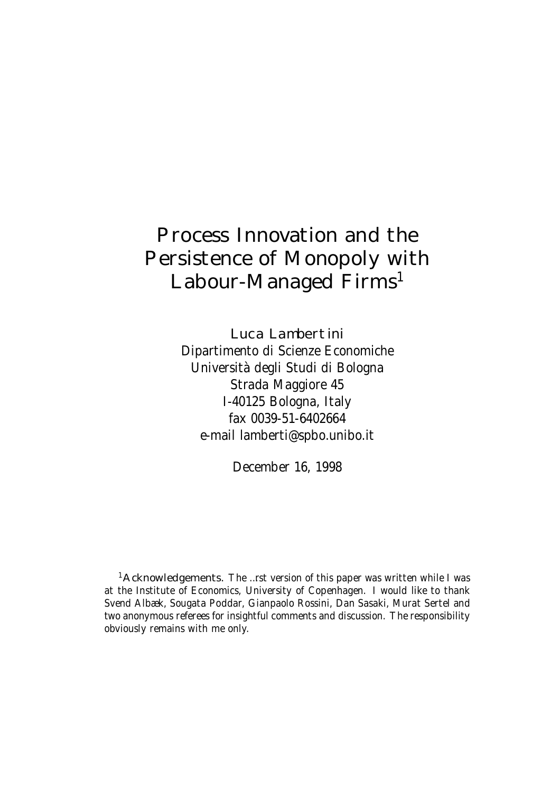# Process Innovation and the Persistence of Monopoly with Labour-Managed Firms 1

Luca Lambertini Dipartimento di Scienze Economiche Università degli Studi di Bologna Strada Maggiore 45 I-40125 Bologna, Italy fax 0039-51-6402664 e-mail lamberti@spbo.unibo.it

December 16, 1998

<sup>1</sup> Acknowledgements. The ...rst version of this paper was written while I was at the Institute of Economics, University of Copenhagen. I would like to thank Svend Albæk, Sougata Poddar, Gianpaolo Rossini, Dan Sasaki, Murat Sertel and two anonymous referees for insightful comments and discussion. The responsibility obviously remains with me only.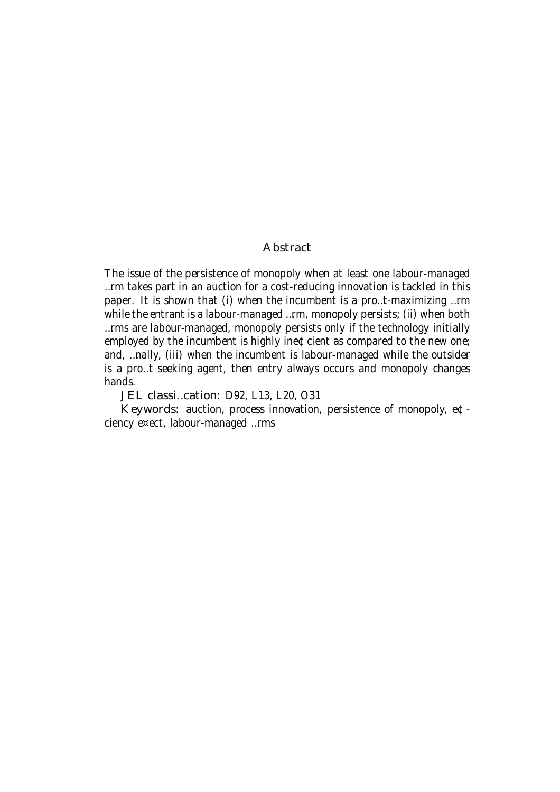#### **Abstract**

The issue of the persistence of monopoly when at least one labour-managed …rm takes part in an auction for a cost-reducing innovation is tackled in this paper. It is shown that (i) when the incumbent is a pro…t-maximizing …rm while the entrant is a labour-managed …rm, monopoly persists; (ii) when both …rms are labour-managed, monopoly persists only if the technology initially employed by the incumbent is highly ine¢cient as compared to the new one; and, …nally, (iii) when the incumbent is labour-managed while the outsider is a pro…t seeking agent, then entry always occurs and monopoly changes hands.

JEL classi…cation: D92, L13, L20, O31

Keywords: auction, process innovation, persistence of monopoly, e¢ ciency e¤ect, labour-managed …rms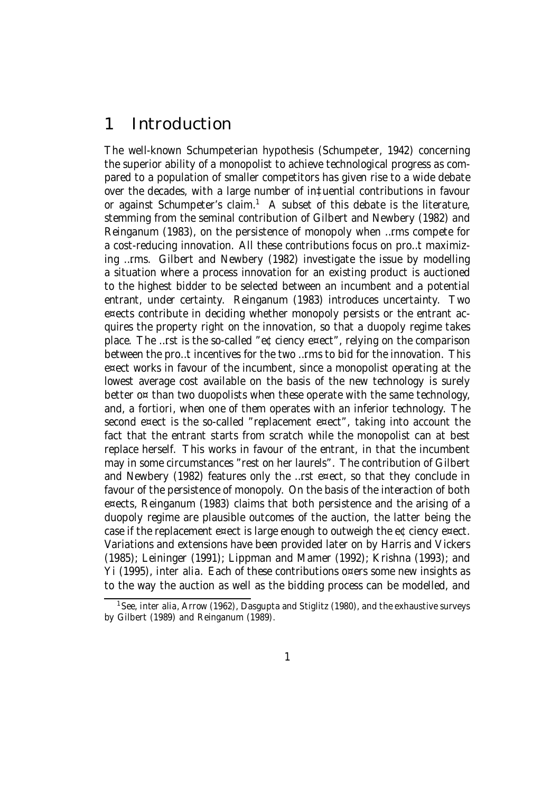## 1 Introduction

The well-known Schumpeterian hypothesis (Schumpeter, 1942) concerning the superior ability of a monopolist to achieve technological progress as compared to a population of smaller competitors has given rise to a wide debate over the decades, with a large number of in‡uential contributions in favour or against Schumpeter's claim.<sup>1</sup> A subset of this debate is the literature, stemming from the seminal contribution of Gilbert and Newbery (1982) and Reinganum (1983), on the persistence of monopoly when …rms compete for a cost-reducing innovation. All these contributions focus on pro…t maximizing …rms. Gilbert and Newbery (1982) investigate the issue by modelling a situation where a process innovation for an existing product is auctioned to the highest bidder to be selected between an incumbent and a potential entrant, under certainty. Reinganum (1983) introduces uncertainty. Two e¤ects contribute in deciding whether monopoly persists or the entrant acquires the property right on the innovation, so that a duopoly regime takes place. The …rst is the so-called "e¢ciency e¤ect", relying on the comparison between the pro…t incentives for the two …rms to bid for the innovation. This e¤ect works in favour of the incumbent, since a monopolist operating at the lowest average cost available on the basis of the new technology is surely better  $o<sup>\alpha</sup>$  than two duopolists when these operate with the same technology, and, a fortiori, when one of them operates with an inferior technology. The second e¤ect is the so-called "replacement e¤ect", taking into account the fact that the entrant starts from scratch while the monopolist can at best replace herself. This works in favour of the entrant, in that the incumbent may in some circumstances "rest on her laurels". The contribution of Gilbert and Newbery (1982) features only the …rst e¤ect, so that they conclude in favour of the persistence of monopoly. On the basis of the interaction of both e¤ects, Reinganum (1983) claims that both persistence and the arising of a duopoly regime are plausible outcomes of the auction, the latter being the case if the replacement e¤ect is large enough to outweigh the e¢ciency e¤ect. Variations and extensions have been provided later on by Harris and Vickers (1985); Leininger (1991); Lippman and Mamer (1992); Krishna (1993); and Yi (1995), inter alia. Each of these contributions o¤ers some new insights as to the way the auction as well as the bidding process can be modelled, and

<sup>&</sup>lt;sup>1</sup>See, inter alia, Arrow (1962), Dasgupta and Stiglitz (1980), and the exhaustive surveys by Gilbert (1989) and Reinganum (1989).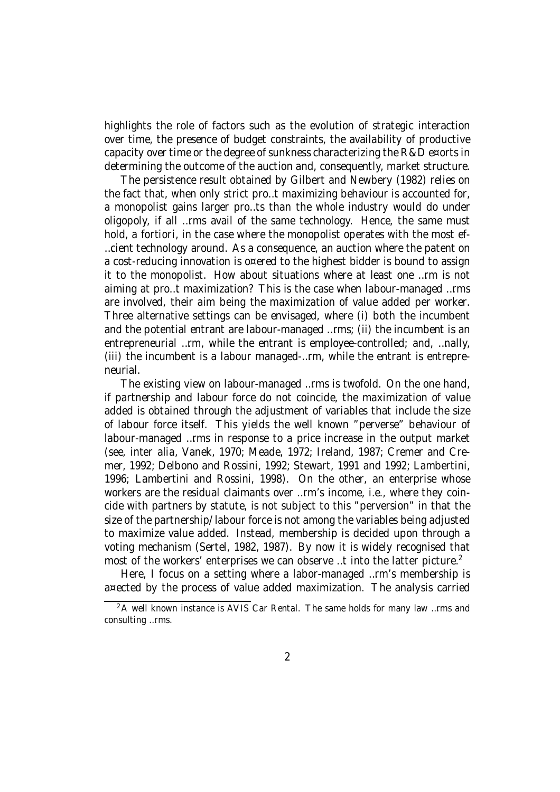highlights the role of factors such as the evolution of strategic interaction over time, the presence of budget constraints, the availability of productive capacity over time or the degree of sunkness characterizing the R&D e¤orts in determining the outcome of the auction and, consequently, market structure.

The persistence result obtained by Gilbert and Newbery (1982) relies on the fact that, when only strict pro…t maximizing behaviour is accounted for, a monopolist gains larger pro…ts than the whole industry would do under oligopoly, if all …rms avail of the same technology. Hence, the same must hold, a fortiori, in the case where the monopolist operates with the most ef- …cient technology around. As a consequence, an auction where the patent on a cost-reducing innovation is o¤ered to the highest bidder is bound to assign it to the monopolist. How about situations where at least one …rm is not aiming at pro…t maximization? This is the case when labour-managed …rms are involved, their aim being the maximization of value added per worker. Three alternative settings can be envisaged, where (i) both the incumbent and the potential entrant are labour-managed …rms; (ii) the incumbent is an entrepreneurial …rm, while the entrant is employee-controlled; and, …nally, (iii) the incumbent is a labour managed-…rm, while the entrant is entrepreneurial.

The existing view on labour-managed …rms is twofold. On the one hand, if partnership and labour force do not coincide, the maximization of value added is obtained through the adjustment of variables that include the size of labour force itself. This yields the well known "perverse" behaviour of labour-managed …rms in response to a price increase in the output market (see, inter alia, Vanek, 1970; Meade, 1972; Ireland, 1987; Cremer and Cremer, 1992; Delbono and Rossini, 1992; Stewart, 1991 and 1992; Lambertini, 1996; Lambertini and Rossini, 1998). On the other, an enterprise whose workers are the residual claimants over …rm's income, i.e., where they coincide with partners by statute, is not subject to this "perversion" in that the size of the partnership/labour force is not among the variables being adjusted to maximize value added. Instead, membership is decided upon through a voting mechanism (Sertel, 1982, 1987). By now it is widely recognised that most of the workers' enterprises we can observe …t into the latter picture. 2

Here, I focus on a setting where a labor-managed …rm's membership is a¤ected by the process of value added maximization. The analysis carried

 $2A$  well known instance is AVIS Car Rental. The same holds for many law ... rms and consulting …rms.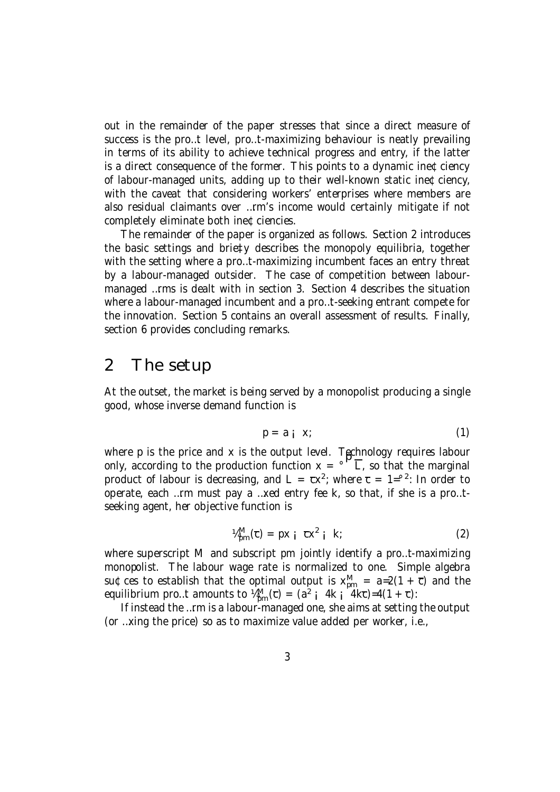out in the remainder of the paper stresses that since a direct measure of success is the pro…t level, pro…t-maximizing behaviour is neatly prevailing in terms of its ability to achieve technical progress and entry, if the latter is a direct consequence of the former. This points to a dynamic ine¢ciency of labour-managed units, adding up to their well-known static ine¢ciency, with the caveat that considering workers' enterprises where members are also residual claimants over …rm's income would certainly mitigate if not completely eliminate both ine¢ciencies.

The remainder of the paper is organized as follows. Section 2 introduces the basic settings and brie‡y describes the monopoly equilibria, together with the setting where a pro…t-maximizing incumbent faces an entry threat by a labour-managed outsider. The case of competition between labourmanaged …rms is dealt with in section 3. Section 4 describes the situation where a labour-managed incumbent and a pro…t-seeking entrant compete for the innovation. Section 5 contains an overall assessment of results. Finally, section 6 provides concluding remarks.

#### 2 The setup

At the outset, the market is being served by a monopolist producing a single good, whose inverse demand function is

$$
p = a_i \times (1)
$$

where p is the price and x is the output level. Technology requires labour only, according to the production function  $x = \sqrt[3]{L}$ , so that the marginal product of labour is decreasing, and  $L = \tau x^2$ ; where  $\tau = 1 = e^2$ : In order to operate, each …rm must pay a …xed entry fee k, so that, if she is a pro…tseeking agent, her objective function is

$$
\mathcal{V}_{pm}^{M}(\mathbf{C}) = \mathbf{p} \mathbf{x} \mathbf{i} \ \mathbf{C} \mathbf{x}^{2} \mathbf{j} \ \mathbf{k}; \tag{2}
$$

where superscript M and subscript pm jointly identify a pro...t-maximizing monopolist. The labour wage rate is normalized to one. Simple algebra su¢ces to establish that the optimal output is  $\bm{{\mathsf{x}}}_\text{pm}^\textsf{M}$  = a=2(1 +  $\bm{{\mathsf{c}}})$  and the equilibrium pro...t amounts to  $\mu_{pm}^{M}(\overline{c}) = (a^2 + 4k + 4k\overline{c}) = 4(1 + \overline{c})$ :

If instead the …rm is a labour-managed one, she aims at setting the output (or …xing the price) so as to maximize value added per worker, i.e.,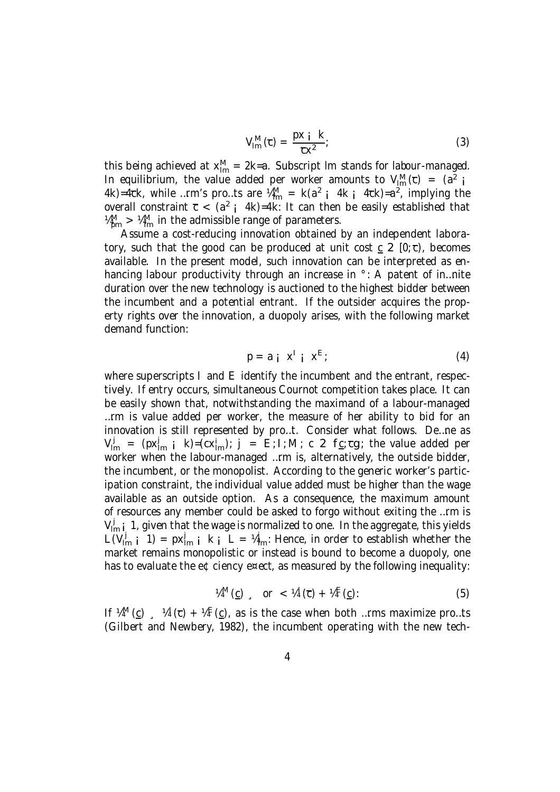$$
V_{\text{Im}}^{\text{M}}(\overline{c}) = \frac{px + k}{\overline{c}x^2};
$$
 (3)

this being achieved at  $x_{lm}^M = 2k = a$ . Subscript Im stands for labour-managed. In equilibrium, the value added per worker amounts to  $V_{lm}^{M}(\vec{c}) = (a^2)^{1/2}$ 4k)=4ck, while ... rm's pro... ts are  $\frac{1}{4}$  = k(a<sup>2</sup> i 4k i 4ck)=a<sup>2</sup>, implying the overall constraint  $\bar{c} < (a^2 + 4k) = 4k$ : It can then be easily established that  $\frac{\mu_{\text{pm}}}{\mu_{\text{pm}}} > \frac{\mu_{\text{pm}}}{\mu_{\text{pm}}}$  in the admissible range of parameters.

Assume a cost-reducing innovation obtained by an independent laboratory, such that the good can be produced at unit cost  $\epsilon$  2 [0;  $\bar{c}$ ), becomes available. In the present model, such innovation can be interpreted as enhancing labour productivity through an increase in °: A patent of in...nite duration over the new technology is auctioned to the highest bidder between the incumbent and a potential entrant. If the outsider acquires the property rights over the innovation, a duopoly arises, with the following market demand function:

$$
p = a_i \times^l i \times^E;
$$
 (4)

where superscripts I and E identify the incumbent and the entrant, respectively. If entry occurs, simultaneous Cournot competition takes place. It can be easily shown that, notwithstanding the maximand of a labour-managed …rm is value added per worker, the measure of her ability to bid for an innovation is still represented by pro…t. Consider what follows. De…ne as  $V_{lm}^{j}$  = (px<sup>j</sup><sub>m</sub> i k)=(cx<sup>i</sup><sub>m</sub>); j = E; I; M; c 2 f<u>c</u>; cg; the value added per worker when the labour-managed …rm is, alternatively, the outside bidder, the incumbent, or the monopolist. According to the generic worker's participation constraint, the individual value added must be higher than the wage available as an outside option. As a consequence, the maximum amount of resources any member could be asked to forgo without exiting the …rm is  $V_{lm}^{j}$  1, given that the wage is normalized to one. In the aggregate, this yields  $L(V_{lm}^j i] = px_{lm}^j i$  k  $i$   $L = W_{lm}^j$ : Hence, in order to establish whether the market remains monopolistic or instead is bound to become a duopoly, one has to evaluate the e¢ciency e¤ect, as measured by the following inequality:

$$
V_4^M(\underline{C}) \quad \text{or} \quad < V_4^I(\overline{C}) + V_4^E(\underline{C}) \tag{5}
$$

If  $\mathcal{U}^{\mathsf{M}}(\underline{c})$  ,  $\mathcal{U}^{\mathsf{I}}(\overline{c}) + \mathcal{U}^{\mathsf{E}}(\underline{c})$ , as is the case when both …rms maximize pro…ts (Gilbert and Newbery, 1982), the incumbent operating with the new tech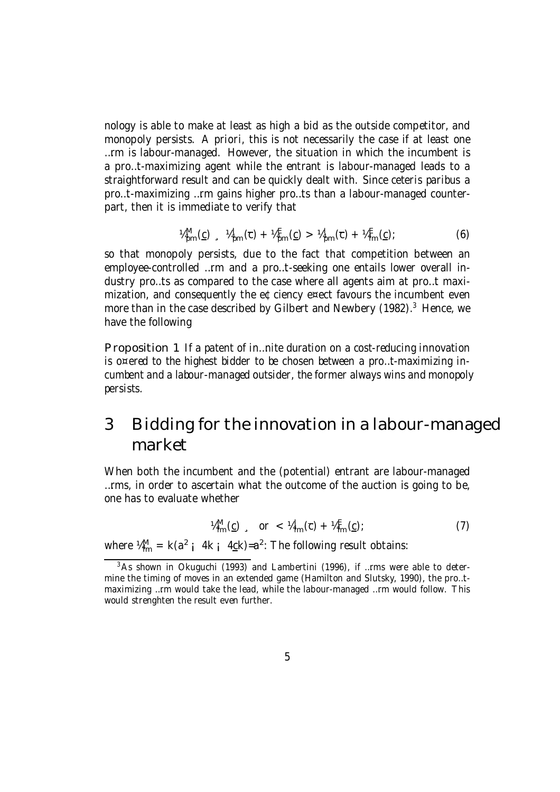nology is able to make at least as high a bid as the outside competitor, and monopoly persists. A priori, this is not necessarily the case if at least one …rm is labour-managed. However, the situation in which the incumbent is a pro…t-maximizing agent while the entrant is labour-managed leads to a straightforward result and can be quickly dealt with. Since ceteris paribus a pro…t-maximizing …rm gains higher pro…ts than a labour-managed counterpart, then it is immediate to verify that

$$
\mathcal{V}_{pm}^{M}(\underline{c}) \quad , \quad \mathcal{V}_{pm}^{I}(\overline{c}) + \mathcal{V}_{pm}^{E}(\underline{c}) > \mathcal{V}_{pm}^{I}(\overline{c}) + \mathcal{V}_{lm}^{E}(\underline{c}); \tag{6}
$$

so that monopoly persists, due to the fact that competition between an employee-controlled …rm and a pro…t-seeking one entails lower overall industry pro…ts as compared to the case where all agents aim at pro…t maximization, and consequently the e¢ciency e¤ect favours the incumbent even more than in the case described by Gilbert and Newbery (1982).<sup>3</sup> Hence, we have the following

Proposition 1 If a patent of in…nite duration on a cost-reducing innovation is o¤ered to the highest bidder to be chosen between a pro…t-maximizing incumbent and a labour-managed outsider, the former always wins and monopoly persists.

## 3 Bidding for the innovation in a labour-managed market

When both the incumbent and the (potential) entrant are labour-managed …rms, in order to ascertain what the outcome of the auction is going to be, one has to evaluate whether

$$
\mathcal{V}_{\mathsf{Im}}^{\mathsf{M}}(\underline{\mathsf{C}}) \quad \text{or} \quad \langle \mathcal{V}_{\mathsf{Im}}^{\mathsf{I}}(\overline{\mathsf{C}}) + \mathcal{V}_{\mathsf{Im}}^{\mathsf{E}}(\underline{\mathsf{C}}) \rangle \tag{7}
$$

where  $\mathcal{U}_{lm}^M = k(a^2 + 4k + 4c) = a^2$ : The following result obtains:

<sup>&</sup>lt;sup>3</sup>As shown in Okuguchi (1993) and Lambertini (1996), if ...rms were able to determine the timing of moves in an extended game (Hamilton and Slutsky, 1990), the pro…tmaximizing …rm would take the lead, while the labour-managed …rm would follow. This would strenghten the result even further.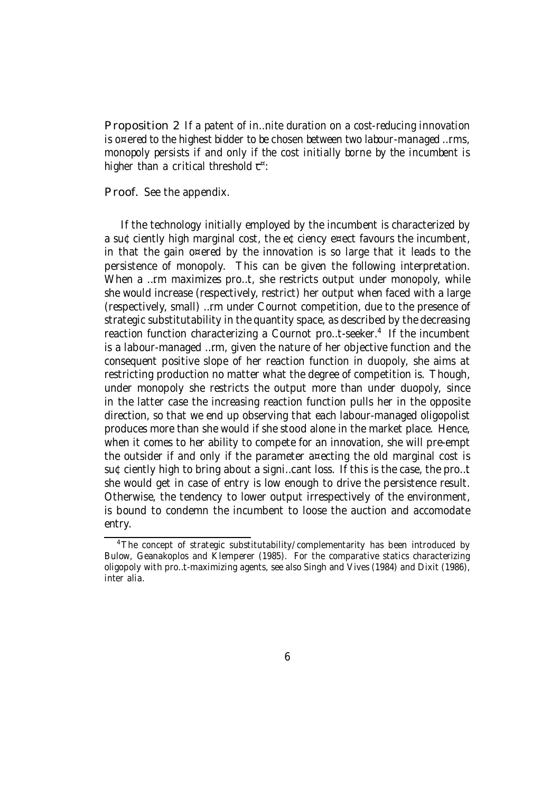Proposition 2 If a patent of in…nite duration on a cost-reducing innovation is o¤ered to the highest bidder to be chosen between two labour-managed …rms, monopoly persists if and only if the cost initially borne by the incumbent is higher than a critical threshold  $\overline{c}^n$ :

Proof. See the appendix.

If the technology initially employed by the incumbent is characterized by a su¢ciently high marginal cost, the e¢ciency e¤ect favours the incumbent, in that the gain o¤ered by the innovation is so large that it leads to the persistence of monopoly. This can be given the following interpretation. When a …rm maximizes pro…t, she restricts output under monopoly, while she would increase (respectively, restrict) her output when faced with a large (respectively, small) …rm under Cournot competition, due to the presence of strategic substitutability in the quantity space, as described by the decreasing reaction function characterizing a Cournot pro...t-seeker.<sup>4</sup> If the incumbent is a labour-managed …rm, given the nature of her objective function and the consequent positive slope of her reaction function in duopoly, she aims at restricting production no matter what the degree of competition is. Though, under monopoly she restricts the output more than under duopoly, since in the latter case the increasing reaction function pulls her in the opposite direction, so that we end up observing that each labour-managed oligopolist produces more than she would if she stood alone in the market place. Hence, when it comes to her ability to compete for an innovation, she will pre-empt the outsider if and only if the parameter a¤ecting the old marginal cost is su¢ciently high to bring about a signi…cant loss. If this is the case, the pro…t she would get in case of entry is low enough to drive the persistence result. Otherwise, the tendency to lower output irrespectively of the environment, is bound to condemn the incumbent to loose the auction and accomodate entry.

<sup>&</sup>lt;sup>4</sup>The concept of strategic substitutability/complementarity has been introduced by Bulow, Geanakoplos and Klemperer (1985). For the comparative statics characterizing oligopoly with pro…t-maximizing agents, see also Singh and Vives (1984) and Dixit (1986), inter alia.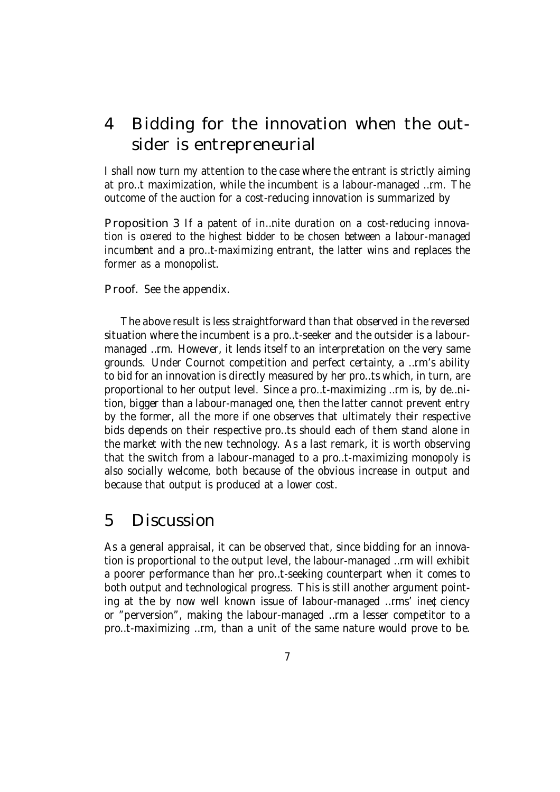## 4 Bidding for the innovation when the outsider is entrepreneurial

I shall now turn my attention to the case where the entrant is strictly aiming at pro…t maximization, while the incumbent is a labour-managed …rm. The outcome of the auction for a cost-reducing innovation is summarized by

Proposition 3 If a patent of in…nite duration on a cost-reducing innovation is o¤ered to the highest bidder to be chosen between a labour-managed incumbent and a pro…t-maximizing entrant, the latter wins and replaces the former as a monopolist.

Proof. See the appendix.

The above result is less straightforward than that observed in the reversed situation where the incumbent is a pro…t-seeker and the outsider is a labourmanaged …rm. However, it lends itself to an interpretation on the very same grounds. Under Cournot competition and perfect certainty, a …rm's ability to bid for an innovation is directly measured by her pro…ts which, in turn, are proportional to her output level. Since a pro…t-maximizing …rm is, by de…nition, bigger than a labour-managed one, then the latter cannot prevent entry by the former, all the more if one observes that ultimately their respective bids depends on their respective pro…ts should each of them stand alone in the market with the new technology. As a last remark, it is worth observing that the switch from a labour-managed to a pro…t-maximizing monopoly is also socially welcome, both because of the obvious increase in output and because that output is produced at a lower cost.

## 5 Discussion

As a general appraisal, it can be observed that, since bidding for an innovation is proportional to the output level, the labour-managed …rm will exhibit a poorer performance than her pro…t-seeking counterpart when it comes to both output and technological progress. This is still another argument pointing at the by now well known issue of labour-managed …rms' ine¢ciency or "perversion", making the labour-managed …rm a lesser competitor to a pro…t-maximizing …rm, than a unit of the same nature would prove to be.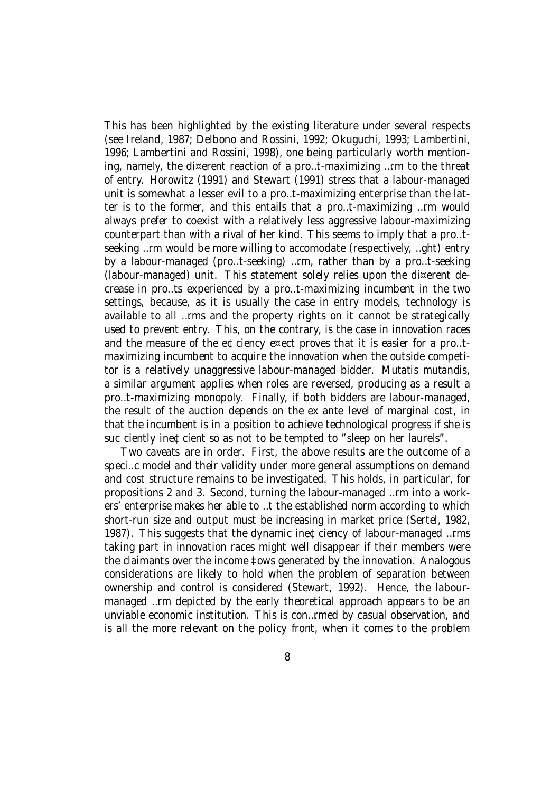This has been highlighted by the existing literature under several respects (see Ireland, 1987; Delbono and Rossini, 1992; Okuguchi, 1993; Lambertini, 1996; Lambertini and Rossini, 1998), one being particularly worth mentioning, namely, the di¤erent reaction of a pro…t-maximizing …rm to the threat of entry. Horowitz (1991) and Stewart (1991) stress that a labour-managed unit is somewhat a lesser evil to a pro…t-maximizing enterprise than the latter is to the former, and this entails that a pro…t-maximizing …rm would always prefer to coexist with a relatively less aggressive labour-maximizing counterpart than with a rival of her kind. This seems to imply that a pro…tseeking …rm would be more willing to accomodate (respectively, …ght) entry by a labour-managed (pro…t-seeking) …rm, rather than by a pro…t-seeking (labour-managed) unit. This statement solely relies upon the di¤erent decrease in pro…ts experienced by a pro…t-maximizing incumbent in the two settings, because, as it is usually the case in entry models, technology is available to all …rms and the property rights on it cannot be strategically used to prevent entry. This, on the contrary, is the case in innovation races and the measure of the e¢ciency e¤ect proves that it is easier for a pro...tmaximizing incumbent to acquire the innovation when the outside competitor is a relatively unaggressive labour-managed bidder. Mutatis mutandis, a similar argument applies when roles are reversed, producing as a result a pro…t-maximizing monopoly. Finally, if both bidders are labour-managed, the result of the auction depends on the ex ante level of marginal cost, in that the incumbent is in a position to achieve technological progress if she is su¢ciently ine¢cient so as not to be tempted to "sleep on her laurels".

Two caveats are in order. First, the above results are the outcome of a speci…c model and their validity under more general assumptions on demand and cost structure remains to be investigated. This holds, in particular, for propositions 2 and 3. Second, turning the labour-managed …rm into a workers' enterprise makes her able to …t the established norm according to which short-run size and output must be increasing in market price (Sertel, 1982, 1987). This suggests that the dynamic ine¢ciency of labour-managed …rms taking part in innovation races might well disappear if their members were the claimants over the income ‡ows generated by the innovation. Analogous considerations are likely to hold when the problem of separation between ownership and control is considered (Stewart, 1992). Hence, the labourmanaged …rm depicted by the early theoretical approach appears to be an unviable economic institution. This is con…rmed by casual observation, and is all the more relevant on the policy front, when it comes to the problem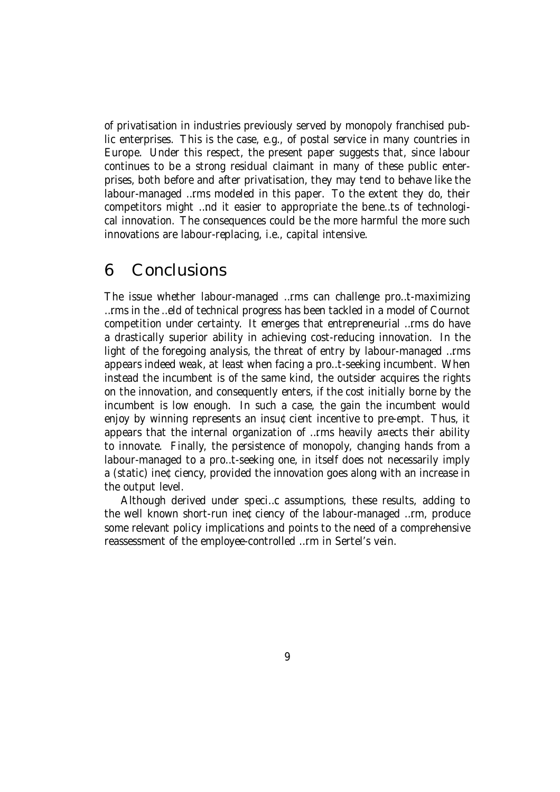of privatisation in industries previously served by monopoly franchised public enterprises. This is the case, e.g., of postal service in many countries in Europe. Under this respect, the present paper suggests that, since labour continues to be a strong residual claimant in many of these public enterprises, both before and after privatisation, they may tend to behave like the labour-managed …rms modeled in this paper. To the extent they do, their competitors might …nd it easier to appropriate the bene…ts of technological innovation. The consequences could be the more harmful the more such innovations are labour-replacing, i.e., capital intensive.

## 6 Conclusions

The issue whether labour-managed …rms can challenge pro…t-maximizing …rms in the …eld of technical progress has been tackled in a model of Cournot competition under certainty. It emerges that entrepreneurial …rms do have a drastically superior ability in achieving cost-reducing innovation. In the light of the foregoing analysis, the threat of entry by labour-managed …rms appears indeed weak, at least when facing a pro…t-seeking incumbent. When instead the incumbent is of the same kind, the outsider acquires the rights on the innovation, and consequently enters, if the cost initially borne by the incumbent is low enough. In such a case, the gain the incumbent would enjoy by winning represents an insu¢cient incentive to pre-empt. Thus, it appears that the internal organization of …rms heavily a¤ects their ability to innovate. Finally, the persistence of monopoly, changing hands from a labour-managed to a pro…t-seeking one, in itself does not necessarily imply a (static) ine¢ciency, provided the innovation goes along with an increase in the output level.

Although derived under speci…c assumptions, these results, adding to the well known short-run ine¢ciency of the labour-managed …rm, produce some relevant policy implications and points to the need of a comprehensive reassessment of the employee-controlled …rm in Sertel's vein.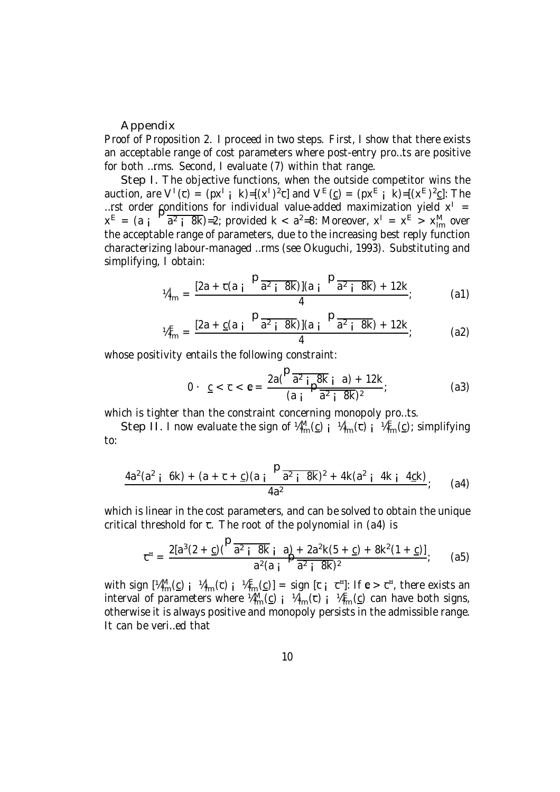#### Appendix

Proof of Proposition 2. I proceed in two steps. First, I show that there exists an acceptable range of cost parameters where post-entry pro…ts are positive for both …rms. Second, I evaluate (7) within that range.

Step I. The objective functions, when the outside competitor wins the auction, are  $V^{\dagger}(\mathbf{C}) = (px^{\dagger} \mathbf{i} \mathbf{k}) = [(x^{\dagger})^2 \mathbf{C}]$  and  $V^{\mathbf{E}}(\mathbf{C}) = (px^{\mathbf{E}} \mathbf{i} \mathbf{k}) = [(x^{\mathbf{E}})^2 \mathbf{C}]$ . The ... rst order conditions for individual value-added maximization yield  $x^1$  =  $x^E = (a_i \frac{b_{i=1}^{n} a_i}{a^2 + 8k}) = 2$ ; provided k <  $a^2 = 8$ : Moreover,  $x^1 = x^E > x_{lm}^M$  over the acceptable range of parameters, due to the increasing best reply function characterizing labour-managed …rms (see Okuguchi, 1993). Substituting and simplifying, I obtain:

$$
\mathcal{V}_4|_{\mathsf{Im}} = \frac{[2a + \tau(a_j \quad \mathsf{P}_{\overline{a^2} \mid \mathsf{8k}})](a_j \quad \mathsf{P}_{\overline{a^2} \mid \mathsf{8k}}) + 12k}{4};\tag{a1}
$$

$$
M_{\rm Im}^{\rm E} = \frac{[2a + \underline{c}(a_i \quad \frac{D_{\overline{a^2}}}{a^2} \quad \frac{8k}{a^2}](a_i \quad \frac{D_{\overline{a^2}}}{a^2} \quad \frac{8k}{a^2}) + 12k}{4};\tag{a2}
$$

whose positivity entails the following constraint:

$$
0 \cdot \underline{c} < \tau < \mathbf{e} = \frac{2a(\frac{D_{\overline{a^2} \mid \partial k_i \mid a) + 12k}}{(a_i - \frac{D_{\overline{a^2} \mid \partial k})^2}}; \tag{a3}
$$

which is tighter than the constraint concerning monopoly pro...ts.

Step II. I now evaluate the sign of  $\frac{M_{Im}(C)}{m(C)}$  i  $\frac{M_{Im}(C)}{m(C)}$  i  $\frac{M_{Im}(C)}{m(C)}$ ; simplifying to:

$$
\frac{4a^2(a^2 + 6k) + (a + \tau + \underline{c})(a + \frac{b^2 - 8k^2}{4a^2 + 8k^2})^2 + 4k(a^2 + 4k + 4\underline{c}k)}{4a^2};
$$
 (a4)

which is linear in the cost parameters, and can be solved to obtain the unique critical threshold for  $\overline{c}$ . The root of the polynomial in (a4) is

$$
\tau^{n} = \frac{2[a^{3}(2 + \underline{c})(\frac{D_{\overline{a^{2}}}}{a^{2}} \frac{\partial K}{a} i \quad a) + 2a^{2}k(5 + \underline{c}) + 8k^{2}(1 + \underline{c})]}{a^{2}(a + \frac{D_{\overline{a^{2}}}}{a^{2}} \frac{\partial K}{a})^{2}}; \qquad (a5)
$$

with sign  $[\%^M_{lm}(c) \parallel \frac{1}{2} \parallel^M_{lm}(c) \parallel \frac{1}{2} \parallel^M_{lm}(c)] = \text{sign}[\text{c} \parallel \text{c}^*]$ : If  $e > c^{\pi}$ , there exists an interval of parameters where  $\frac{1}{2}M_{lm}^M(\underline{c})$  i  $\frac{1}{2}M_{lm}^M(\overline{c})$  i  $\frac{1}{2}M_{lm}^E(\underline{c})$  can have both signs, otherwise it is always positive and monopoly persists in the admissible range. It can be veri…ed that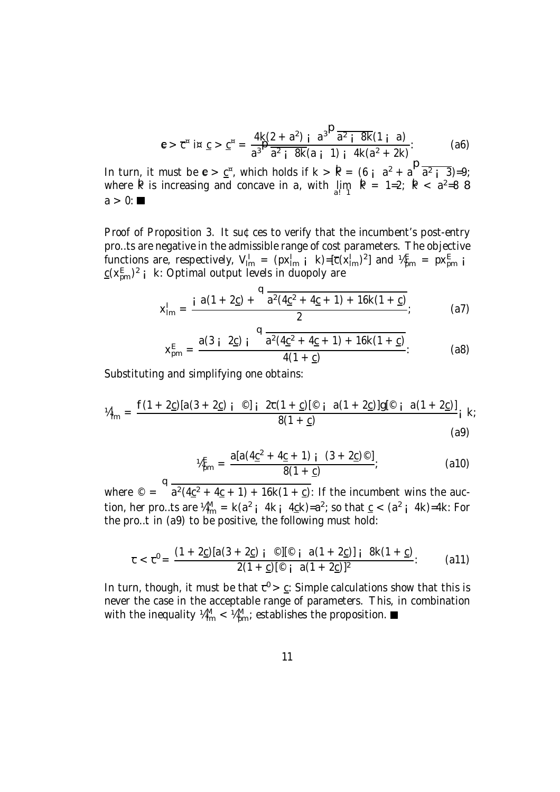$$
\mathbf{e} > \overline{c}^{n} \text{ is } \underline{c} > \underline{c}^{n} = \frac{4k(2+a^{2})}{a^{3}} \frac{a^{3}}{a^{2} + 8k(a+1)} \cdot \frac{a^{3}}{a^{2} + 8k(1+a)} \cdot \frac{a^{3}}{a^{2} + 8k(a+1)} \cdot \frac{a^{3}}{a^{2} + 8k(a+1)} \cdot \frac{a^{3}}{a^{3} + 8k(a+1)} \cdot \frac{a^{3}}{a^{3} + 8k(a+1)} \cdot \frac{a^{3}}{a^{3} + 8k(a+1)} \cdot \frac{a^{3}}{a^{3} + 8k(a+1)} \cdot \frac{a^{3}}{a^{3} + 8k(a+1)} \cdot \frac{a^{3}}{a^{3} + 8k(a+1)} \cdot \frac{a^{3}}{a^{3} + 8k(a+1)} \cdot \frac{a^{3}}{a^{3} + 8k(a+1)} \cdot \frac{a^{3}}{a^{3} + 8k(a+1)} \cdot \frac{a^{3}}{a^{3} + 8k(a+1)} \cdot \frac{a^{3}}{a^{3} + 8k(a+1)} \cdot \frac{a^{3}}{a^{3} + 8k(a+1)} \cdot \frac{a^{3}}{a^{3} + 8k(a+1)} \cdot \frac{a^{3}}{a^{3} + 8k(a+1)} \cdot \frac{a^{3}}{a^{3} + 8k(a+1)} \cdot \frac{a^{3}}{a^{3} + 8k(a+1)} \cdot \frac{a^{3}}{a^{3} + 8k(a+1)} \cdot \frac{a^{3}}{a^{3} + 8k(a+1)} \cdot \frac{a^{3}}{a^{3} + 8k(a+1)} \cdot \frac{a^{3}}{a^{3} + 8k(a+1)} \cdot \frac{a^{3}}{a^{3} + 8k(a+1)} \cdot \frac{a^{3}}{a^{3} + 8k(a+1)} \cdot \frac{a^{3}}{a^{3} + 8k(a+1)} \cdot \frac{a^{3}}{a^{3} + 8k(a+1)} \cdot \frac{a^{3}}{a^{3} + 8k(a+1)} \cdot \frac{a^{3}}{a^{3} + 8k(a+1)} \cdot \frac{a^{3}}{a^{3} + 8k(a+1)} \cdot \frac{a^{3}}{a^{3} + 8k(a+1)} \cdot \frac{a
$$

In turn, it must be  $e > \underline{c}^n$ , which holds if  $k > k = (6 \text{ i } a^2 + a^2 \overline{a^2 + 3}) = 9$ ; where **k** is increasing and concave in a, with  $\lim_{a!}$  **k** = 1=2; **k** < a<sup>2</sup>=8 8  $a > 0$ :

Proof of Proposition 3. It su¢ces to verify that the incumbent's post-entry pro…ts are negative in the admissible range of cost parameters. The objective functions are, respectively,  $V_{lm}^1 = (px_{lm}^1 \text{ i } k) = [c(x_{lm}^1)^2]$  and  $\mathcal{U}_{pm}^E = px_{pm}^E \text{ i }$  $\underline{\mathsf{c}}(\mathsf{x}_{\mathsf{pm}}^{\mathsf{E}})^2$  i k: Optimal output levels in duopoly are

$$
x_{\rm lm}^1 = \frac{i \ a(1+2\underline{c}) + \frac{q}{a^2(4\underline{c}^2 + 4\underline{c} + 1) + 16k(1 + \underline{c})}}{2}; \qquad (a7)
$$

$$
x_{pm}^{E} = \frac{a(3 \text{ i } 2\underline{c}) \text{ i } \frac{q}{a^2(4\underline{c}^2 + 4\underline{c} + 1) + 16k(1 + \underline{c})}}{4(1 + \underline{c})}.
$$
 (a8)

Substituting and simplifying one obtains:

$$
\mathcal{V}_1|_{\mathsf{m}} = \frac{\mathsf{f}(1+2\underline{\mathsf{c}})[a(3+2\underline{\mathsf{c}}) \mathsf{i} \mathsf{e}^{\mathsf{j}} \mathsf{j} \mathsf{f}^{\mathsf{e}} \mathsf{f}^{\mathsf{e}} \mathsf{i} a(1+2\underline{\mathsf{c}})]g[\mathsf{e}^{\mathsf{j}} \mathsf{i} a(1+2\underline{\mathsf{c}})]}{8(1+\underline{\mathsf{c}})}\mathsf{i} \mathsf{k};\tag{a9}
$$

$$
V_{4\text{pm}}^{E} = \frac{a[a(4\underline{c}^{2} + 4\underline{c} + 1) \, \mathbf{j} \, (3 + 2\underline{c})^{\odot}]}{8(1 + \underline{c})};
$$
 (a10)

where  $\circ$  =  $\frac{q}{a^2(4\underline{c}^2 + 4\underline{c} + 1) + 16k(1 + \underline{c})}$ : If the incumbent wins the auction, her pro...ts are  $\frac{1}{4}$  = k(a<sup>2</sup> i 4k i 4ck)=a<sup>2</sup>; so that  $c < (a^2$  i 4k)=4k: For the pro…t in (a9) to be positive, the following must hold:

$$
\mathbb{C} < \mathbb{C}^0 = \frac{(1 + 2\underline{C})[a(3 + 2\underline{C}) \mathbf{i} \otimes] [\mathbb{O} \mathbf{i} \quad a(1 + 2\underline{C})] \mathbf{i} \quad 8k(1 + \underline{C})}{2(1 + \underline{C})[\mathbb{O} \mathbf{i} \quad a(1 + 2\underline{C})]^2}.
$$
 (a11)

In turn, though, it must be that  $\bar{c}^0 > \underline{c}$ : Simple calculations show that this is never the case in the acceptable range of parameters. This, in combination with the inequality  $\frac{M_{\textrm{Im}}}{M_{\textrm{min}}}<\frac{M_{\textrm{DM}}}{M_{\textrm{min}}}>$  establishes the proposition.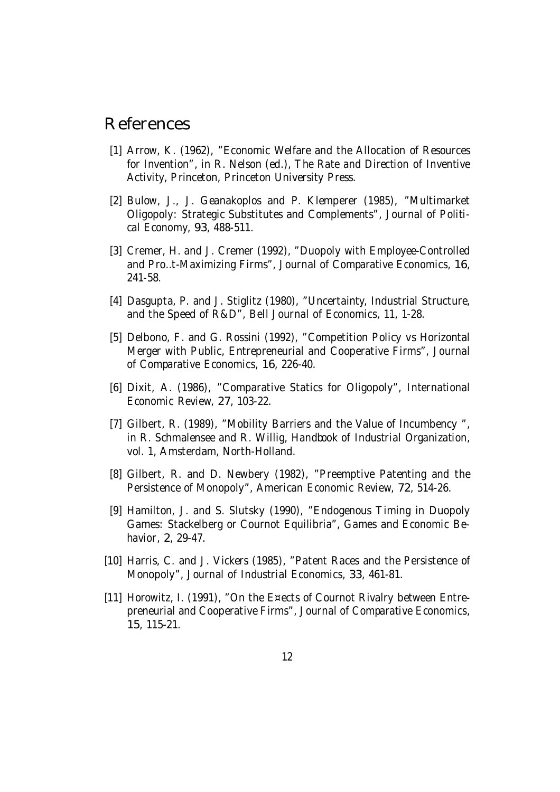### References

- [1] Arrow, K. (1962), "Economic Welfare and the Allocation of Resources for Invention", in R. Nelson (ed.), The Rate and Direction of Inventive Activity, Princeton, Princeton University Press.
- [2] Bulow, J., J. Geanakoplos and P. Klemperer (1985), "Multimarket Oligopoly: Strategic Substitutes and Complements", Journal of Political Economy, 93, 488-511.
- [3] Cremer, H. and J. Cremer (1992), "Duopoly with Employee-Controlled and Pro…t-Maximizing Firms", Journal of Comparative Economics, 16, 241-58.
- [4] Dasgupta, P. and J. Stiglitz (1980), "Uncertainty, Industrial Structure, and the Speed of R&D", Bell Journal of Economics, 11, 1-28.
- [5] Delbono, F. and G. Rossini (1992), "Competition Policy vs Horizontal Merger with Public, Entrepreneurial and Cooperative Firms", Journal of Comparative Economics, 16, 226-40.
- [6] Dixit, A. (1986), "Comparative Statics for Oligopoly", International Economic Review, 27, 103-22.
- [7] Gilbert, R. (1989), "Mobility Barriers and the Value of Incumbency", in R. Schmalensee and R. Willig, Handbook of Industrial Organization, vol. 1, Amsterdam, North-Holland.
- [8] Gilbert, R. and D. Newbery (1982), "Preemptive Patenting and the Persistence of Monopoly", American Economic Review, 72, 514-26.
- [9] Hamilton, J. and S. Slutsky (1990), "Endogenous Timing in Duopoly Games: Stackelberg or Cournot Equilibria", Games and Economic Behavior, 2, 29-47.
- [10] Harris, C. and J. Vickers (1985), "Patent Races and the Persistence of Monopoly", Journal of Industrial Economics, 33, 461-81.
- [11] Horowitz, I. (1991), "On the E¤ects of Cournot Rivalry between Entrepreneurial and Cooperative Firms", Journal of Comparative Economics, 15, 115-21.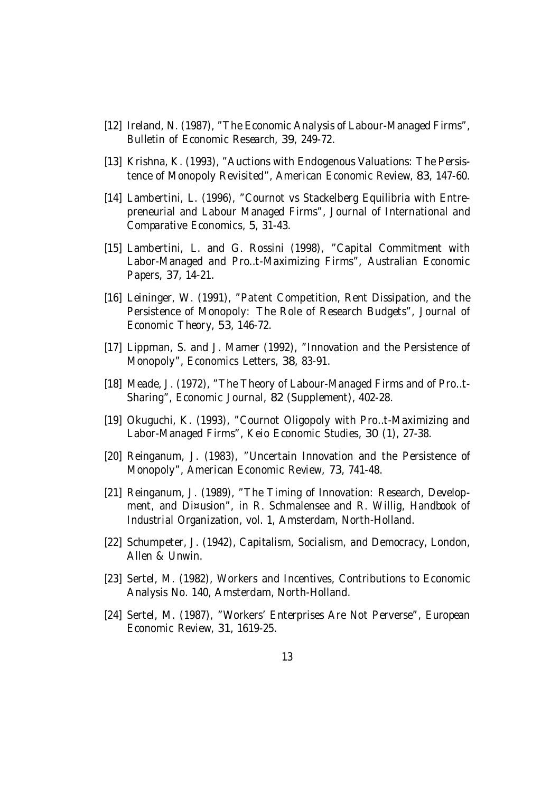- [12] Ireland, N. (1987), "The Economic Analysis of Labour-Managed Firms", Bulletin of Economic Research, 39, 249-72.
- [13] Krishna, K. (1993), "Auctions with Endogenous Valuations: The Persistence of Monopoly Revisited", American Economic Review, 83, 147-60.
- [14] Lambertini, L. (1996), "Cournot vs Stackelberg Equilibria with Entrepreneurial and Labour Managed Firms", Journal of International and Comparative Economics, 5, 31-43.
- [15] Lambertini, L. and G. Rossini (1998), "Capital Commitment with Labor-Managed and Pro…t-Maximizing Firms", Australian Economic Papers, 37, 14-21.
- [16] Leininger, W. (1991), "Patent Competition, Rent Dissipation, and the Persistence of Monopoly: The Role of Research Budgets", Journal of Economic Theory, 53, 146-72.
- [17] Lippman, S. and J. Mamer (1992), "Innovation and the Persistence of Monopoly", Economics Letters, 38, 83-91.
- [18] Meade, J. (1972), "The Theory of Labour-Managed Firms and of Pro...t-Sharing", Economic Journal, 82 (Supplement), 402-28.
- [19] Okuguchi, K. (1993), "Cournot Oligopoly with Pro...t-Maximizing and Labor-Managed Firms", Keio Economic Studies, 30 (1), 27-38.
- [20] Reinganum, J. (1983), "Uncertain Innovation and the Persistence of Monopoly", American Economic Review, 73, 741-48.
- [21] Reinganum, J. (1989), "The Timing of Innovation: Research, Development, and Di¤usion", in R. Schmalensee and R. Willig, Handbook of Industrial Organization, vol. 1, Amsterdam, North-Holland.
- [22] Schumpeter, J. (1942), Capitalism, Socialism, and Democracy, London, Allen & Unwin.
- [23] Sertel, M. (1982), Workers and Incentives, Contributions to Economic Analysis No. 140, Amsterdam, North-Holland.
- [24] Sertel, M. (1987), "Workers' Enterprises Are Not Perverse", European Economic Review, 31, 1619-25.